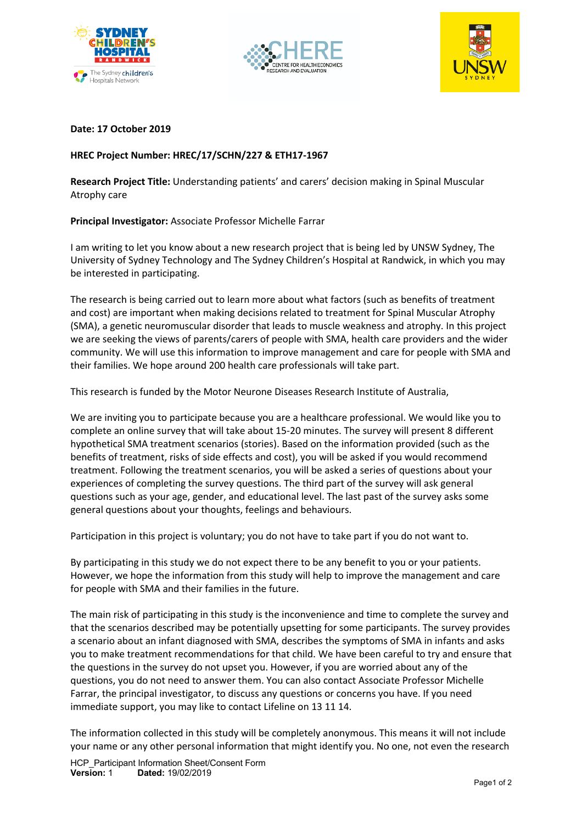





#### **Date: 17 October 2019**

# **HREC Project Number: HREC/17/SCHN/227 & ETH17-1967**

**Research Project Title:** Understanding patients' and carers' decision making in Spinal Muscular Atrophy care

### **Principal Investigator:** Associate Professor Michelle Farrar

I am writing to let you know about a new research project that is being led by UNSW Sydney, The University of Sydney Technology and The Sydney Children's Hospital at Randwick, in which you may be interested in participating.

The research is being carried out to learn more about what factors (such as benefits of treatment and cost) are important when making decisions related to treatment for Spinal Muscular Atrophy (SMA), a genetic neuromuscular disorder that leads to muscle weakness and atrophy. In this project we are seeking the views of parents/carers of people with SMA, health care providers and the wider community. We will use this information to improve management and care for people with SMA and their families. We hope around 200 health care professionals will take part.

This research is funded by the Motor Neurone Diseases Research Institute of Australia,

We are inviting you to participate because you are a healthcare professional. We would like you to complete an online survey that will take about 15-20 minutes. The survey will present 8 different hypothetical SMA treatment scenarios (stories). Based on the information provided (such as the benefits of treatment, risks of side effects and cost), you will be asked if you would recommend treatment. Following the treatment scenarios, you will be asked a series of questions about your experiences of completing the survey questions. The third part of the survey will ask general questions such as your age, gender, and educational level. The last past of the survey asks some general questions about your thoughts, feelings and behaviours.

Participation in this project is voluntary; you do not have to take part if you do not want to.

By participating in this study we do not expect there to be any benefit to you or your patients. However, we hope the information from this study will help to improve the management and care for people with SMA and their families in the future.

The main risk of participating in this study is the inconvenience and time to complete the survey and that the scenarios described may be potentially upsetting for some participants. The survey provides a scenario about an infant diagnosed with SMA, describes the symptoms of SMA in infants and asks you to make treatment recommendations for that child. We have been careful to try and ensure that the questions in the survey do not upset you. However, if you are worried about any of the questions, you do not need to answer them. You can also contact Associate Professor Michelle Farrar, the principal investigator, to discuss any questions or concerns you have. If you need immediate support, you may like to contact Lifeline on 13 11 14.

The information collected in this study will be completely anonymous. This means it will not include your name or any other personal information that might identify you. No one, not even the research